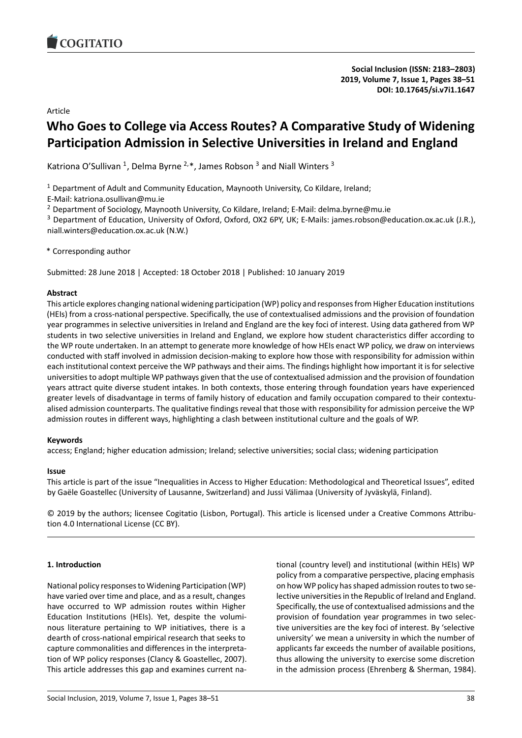# Article

# **Who Goes to College via Access Routes? A Comparative Study of Widening Participation Admission in Selective Universities in Ireland and England**

Katriona O'Sullivan <sup>1</sup>, Delma Byrne <sup>2,\*</sup>, James Robson  $^3$  and Niall Winters  $^3$ 

 $1$  Department of Adult and Community Education, Maynooth University, Co Kildare, Ireland;

E-Mail: katriona.osullivan@mu.ie

<sup>2</sup> Department of Sociology, Maynooth University, Co Kildare, Ireland; E-Mail: delma.byrne@mu.ie

<sup>3</sup> Department of Education, University of Oxford, Oxford, OX2 6PY, UK; E-Mails: james.robson@education.ox.ac.uk (J.R.), niall.winters@education.ox.ac.uk (N.W.)

\* Corresponding author

Submitted: 28 June 2018 | Accepted: 18 October 2018 | Published: 10 January 2019

# **Abstract**

This article explores changing national widening participation (WP) policy and responses from Higher Education institutions (HEIs) from a cross-national perspective. Specifically, the use of contextualised admissions and the provision of foundation year programmes in selective universities in Ireland and England are the key foci of interest. Using data gathered from WP students in two selective universities in Ireland and England, we explore how student characteristics differ according to the WP route undertaken. In an attempt to generate more knowledge of how HEIs enact WP policy, we draw on interviews conducted with staff involved in admission decision-making to explore how those with responsibility for admission within each institutional context perceive the WP pathways and their aims. The findings highlight how important it is for selective universities to adopt multiple WP pathways given that the use of contextualised admission and the provision of foundation years attract quite diverse student intakes. In both contexts, those entering through foundation years have experienced greater levels of disadvantage in terms of family history of education and family occupation compared to their contextualised admission counterparts. The qualitative findings reveal that those with responsibility for admission perceive the WP admission routes in different ways, highlighting a clash between institutional culture and the goals of WP.

# **Keywords**

access; England; higher education admission; Ireland; selective universities; social class; widening participation

# **Issue**

This article is part of the issue "Inequalities in Access to Higher Education: Methodological and Theoretical Issues", edited by Gaële Goastellec (University of Lausanne, Switzerland) and Jussi Välimaa (University of Jyväskylä, Finland).

© 2019 by the authors; licensee Cogitatio (Lisbon, Portugal). This article is licensed under a Creative Commons Attribution 4.0 International License (CC BY).

# **1. Introduction**

National policy responses to Widening Participation (WP) have varied over time and place, and as a result, changes have occurred to WP admission routes within Higher Education Institutions (HEIs). Yet, despite the voluminous literature pertaining to WP initiatives, there is a dearth of cross-national empirical research that seeks to capture commonalities and differences in the interpretation of WP policy responses (Clancy & Goastellec, 2007). This article addresses this gap and examines current national (country level) and institutional (within HEIs) WP policy from a comparative perspective, placing emphasis on how WP policy has shaped admission routes to two selective universities in the Republic of Ireland and England. Specifically, the use of contextualised admissions and the provision of foundation year programmes in two selective universities are the key foci of interest. By 'selective university' we mean a university in which the number of applicants far exceeds the number of available positions, thus allowing the university to exercise some discretion in the admission process (Ehrenberg & Sherman, 1984).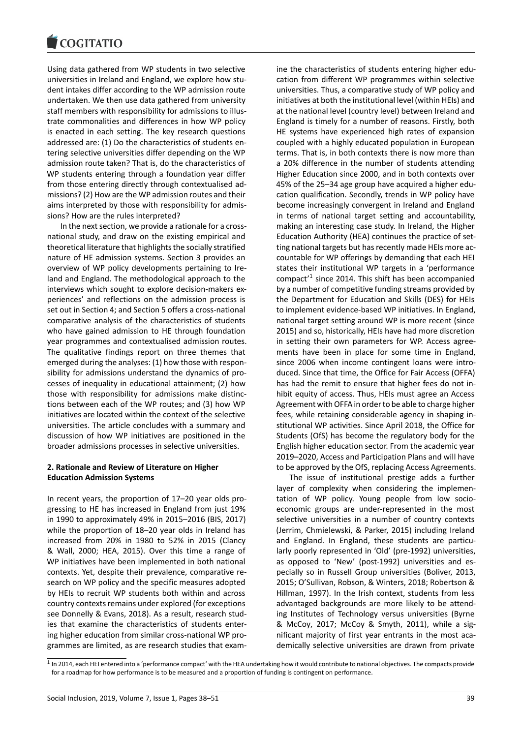#### COMITATIO

Using data gathered from WP students in two selective universities in Ireland and England, we explore how student intakes differ according to the WP admission route undertaken. We then use data gathered from university staff members with responsibility for admissions to illustrate commonalities and differences in how WP policy is enacted in each setting. The key research questions addressed are: (1) Do the characteristics of students entering selective universities differ depending on the WP admission route taken? That is, do the characteristics of WP students entering through a foundation year differ from those entering directly through contextualised admissions? (2) How are the WP admission routes and their aims interpreted by those with responsibility for admissions? How are the rules interpreted?

In the next section, we provide a rationale for a crossnational study, and draw on the existing empirical and theoretical literature that highlights the socially stratified nature of HE admission systems. Section 3 provides an overview of WP policy developments pertaining to Ireland and England. The methodological approach to the interviews which sought to explore decision-makers experiences' and reflections on the admission process is set out in Section 4; and Section 5 offers a cross-national comparative analysis of the characteristics of students who have gained admission to HE through foundation year programmes and contextualised admission routes. The qualitative findings report on three themes that emerged during the analyses: (1) how those with responsibility for admissions understand the dynamics of processes of inequality in educational attainment; (2) how those with responsibility for admissions make distinctions between each of the WP routes; and (3) how WP initiatives are located within the context of the selective universities. The article concludes with a summary and discussion of how WP initiatives are positioned in the broader admissions processes in selective universities.

### **2. Rationale and Review of Literature on Higher Education Admission Systems**

In recent years, the proportion of 17–20 year olds progressing to HE has increased in England from just 19% in 1990 to approximately 49% in 2015–2016 (BIS, 2017) while the proportion of 18–20 year olds in Ireland has increased from 20% in 1980 to 52% in 2015 (Clancy & Wall, 2000; HEA, 2015). Over this time a range of WP initiatives have been implemented in both national contexts. Yet, despite their prevalence, comparative research on WP policy and the specific measures adopted by HEIs to recruit WP students both within and across country contexts remains under explored (for exceptions see Donnelly & Evans, 2018). As a result, research studies that examine the characteristics of students entering higher education from similar cross-national WP programmes are limited, as are research studies that examine the characteristics of students entering higher education from different WP programmes within selective universities. Thus, a comparative study of WP policy and initiatives at both the institutional level (within HEIs) and at the national level (country level) between Ireland and England is timely for a number of reasons. Firstly, both HE systems have experienced high rates of expansion coupled with a highly educated population in European terms. That is, in both contexts there is now more than a 20% difference in the number of students attending Higher Education since 2000, and in both contexts over 45% of the 25–34 age group have acquired a higher education qualification. Secondly, trends in WP policy have become increasingly convergent in Ireland and England in terms of national target setting and accountability, making an interesting case study. In Ireland, the Higher Education Authority (HEA) continues the practice of setting national targets but has recently made HEIs more accountable for WP offerings by demanding that each HEI states their institutional WP targets in a 'performance compact<sup>'1</sup> since 2014. This shift has been accompanied by a number of competitive funding streams provided by the Department for Education and Skills (DES) for HEIs to implement evidence-based WP initiatives. In England, national [ta](#page-1-0)rget setting around WP is more recent (since 2015) and so, historically, HEIs have had more discretion in setting their own parameters for WP. Access agreements have been in place for some time in England, since 2006 when income contingent loans were introduced. Since that time, the Office for Fair Access (OFFA) has had the remit to ensure that higher fees do not inhibit equity of access. Thus, HEIs must agree an Access Agreement with OFFA in order to be able to charge higher fees, while retaining considerable agency in shaping institutional WP activities. Since April 2018, the Office for Students (OfS) has become the regulatory body for the English higher education sector. From the academic year 2019–2020, Access and Participation Plans and will have to be approved by the OfS, replacing Access Agreements.

The issue of institutional prestige adds a further layer of complexity when considering the implementation of WP policy. Young people from low socioeconomic groups are under-represented in the most selective universities in a number of country contexts (Jerrim, Chmielewski, & Parker, 2015) including Ireland and England. In England, these students are particularly poorly represented in 'Old' (pre-1992) universities, as opposed to 'New' (post-1992) universities and especially so in Russell Group universities (Boliver, 2013, 2015; O'Sullivan, Robson, & Winters, 2018; Robertson & Hillman, 1997). In the Irish context, students from less advantaged backgrounds are more likely to be attending Institutes of Technology versus universities (Byrne & McCoy, 2017; McCoy & Smyth, 2011), while a significant majority of first year entrants in the most academically selective universities are drawn from private

<span id="page-1-0"></span><sup>&</sup>lt;sup>1</sup> In 2014, each HEI entered into a 'performance compact' with the HEA undertaking how it would contribute to national objectives. The compacts provide for a roadmap for how performance is to be measured and a proportion of funding is contingent on performance.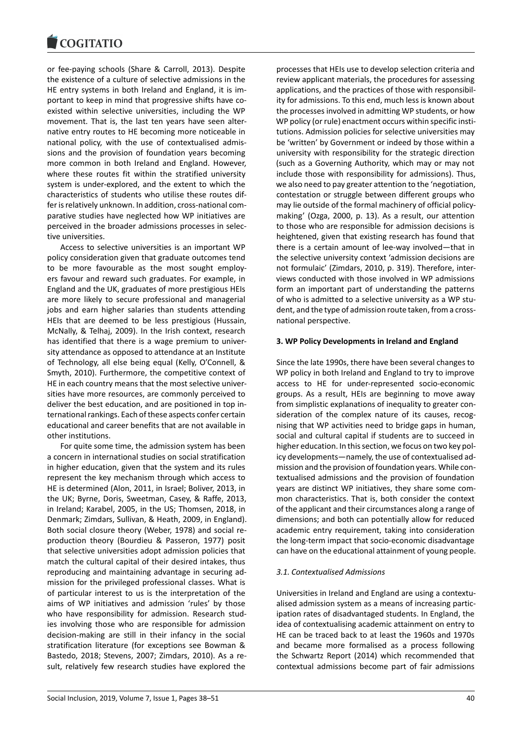or fee-paying schools (Share & Carroll, 2013). Despite the existence of a culture of selective admissions in the HE entry systems in both Ireland and England, it is important to keep in mind that progressive shifts have coexisted within selective universities, including the WP movement. That is, the last ten years have seen alternative entry routes to HE becoming more noticeable in national policy, with the use of contextualised admissions and the provision of foundation years becoming more common in both Ireland and England. However, where these routes fit within the stratified university system is under-explored, and the extent to which the characteristics of students who utilise these routes differ is relatively unknown. In addition, cross-national comparative studies have neglected how WP initiatives are perceived in the broader admissions processes in selective universities.

Access to selective universities is an important WP policy consideration given that graduate outcomes tend to be more favourable as the most sought employers favour and reward such graduates. For example, in England and the UK, graduates of more prestigious HEIs are more likely to secure professional and managerial jobs and earn higher salaries than students attending HEIs that are deemed to be less prestigious (Hussain, McNally, & Telhaj, 2009). In the Irish context, research has identified that there is a wage premium to university attendance as opposed to attendance at an Institute of Technology, all else being equal (Kelly, O'Connell, & Smyth, 2010). Furthermore, the competitive context of HE in each country means that the most selective universities have more resources, are commonly perceived to deliver the best education, and are positioned in top international rankings. Each of these aspects confer certain educational and career benefits that are not available in other institutions.

For quite some time, the admission system has been a concern in international studies on social stratification in higher education, given that the system and its rules represent the key mechanism through which access to HE is determined (Alon, 2011, in Israel; Boliver, 2013, in the UK; Byrne, Doris, Sweetman, Casey, & Raffe, 2013, in Ireland; Karabel, 2005, in the US; Thomsen, 2018, in Denmark; Zimdars, Sullivan, & Heath, 2009, in England). Both social closure theory (Weber, 1978) and social reproduction theory (Bourdieu & Passeron, 1977) posit that selective universities adopt admission policies that match the cultural capital of their desired intakes, thus reproducing and maintaining advantage in securing admission for the privileged professional classes. What is of particular interest to us is the interpretation of the aims of WP initiatives and admission 'rules' by those who have responsibility for admission. Research studies involving those who are responsible for admission decision-making are still in their infancy in the social stratification literature (for exceptions see Bowman & Bastedo, 2018; Stevens, 2007; Zimdars, 2010). As a result, relatively few research studies have explored the

processes that HEIs use to develop selection criteria and review applicant materials, the procedures for assessing applications, and the practices of those with responsibility for admissions. To this end, much less is known about the processes involved in admitting WP students, or how WP policy (or rule) enactment occurs within specific institutions. Admission policies for selective universities may be 'written' by Government or indeed by those within a university with responsibility for the strategic direction (such as a Governing Authority, which may or may not include those with responsibility for admissions). Thus, we also need to pay greater attention to the 'negotiation, contestation or struggle between different groups who may lie outside of the formal machinery of official policymaking' (Ozga, 2000, p. 13). As a result, our attention to those who are responsible for admission decisions is heightened, given that existing research has found that there is a certain amount of lee-way involved—that in the selective university context 'admission decisions are not formulaic' (Zimdars, 2010, p. 319). Therefore, interviews conducted with those involved in WP admissions form an important part of understanding the patterns of who is admitted to a selective university as a WP student, and the type of admission route taken, from a crossnational perspective.

### **3. WP Policy Developments in Ireland and England**

Since the late 1990s, there have been several changes to WP policy in both Ireland and England to try to improve access to HE for under-represented socio-economic groups. As a result, HEIs are beginning to move away from simplistic explanations of inequality to greater consideration of the complex nature of its causes, recognising that WP activities need to bridge gaps in human, social and cultural capital if students are to succeed in higher education. In this section, we focus on two key policy developments—namely, the use of contextualised admission and the provision of foundation years. While contextualised admissions and the provision of foundation years are distinct WP initiatives, they share some common characteristics. That is, both consider the context of the applicant and their circumstances along a range of dimensions; and both can potentially allow for reduced academic entry requirement, taking into consideration the long-term impact that socio-economic disadvantage can have on the educational attainment of young people.

#### *3.1. Contextualised Admissions*

Universities in Ireland and England are using a contextualised admission system as a means of increasing participation rates of disadvantaged students. In England, the idea of contextualising academic attainment on entry to HE can be traced back to at least the 1960s and 1970s and became more formalised as a process following the Schwartz Report (2014) which recommended that contextual admissions become part of fair admissions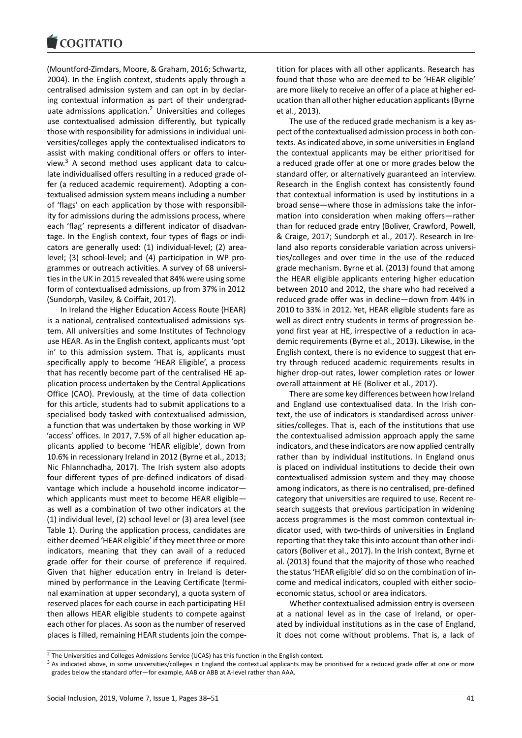#### **COMMITMENT**

(Mountford-Zimdars, Moore, & Graham, 2016; Schwartz, 2004). In the English context, students apply through a centralised admission system and can opt in by declaring contextual information as part of their undergraduate admissions application.<sup>2</sup> Universities and colleges use contextualised admission differently, but typically those with responsibility for admissions in individual universities/colleges apply the contextualised indicators to assist with making conditio[na](#page-3-0)l offers or offers to interview. $3$  A second method uses applicant data to calculate individualised offers resulting in a reduced grade offer (a reduced academic requirement). Adopting a contextualised admission system means including a number of 'fl[ag](#page-3-1)s' on each application by those with responsibility for admissions during the admissions process, where each 'flag' represents a different indicator of disadvantage. In the English context, four types of flags or indicators are generally used: (1) individual-level; (2) arealevel; (3) school-level; and (4) participation in WP programmes or outreach activities. A survey of 68 universities in the UK in 2015 revealed that 84% were using some form of contextualised admissions, up from 37% in 2012 (Sundorph, Vasilev, & Coiffait, 2017).

In Ireland the Higher Education Access Route (HEAR) is a national, centralised contextualised admissions system. All universities and some Institutes of Technology use HEAR. As in the English context, applicants must 'opt in' to this admission system. That is, applicants must specifically apply to become 'HEAR Eligible', a process that has recently become part of the centralised HE application process undertaken by the Central Applications Office (CAO). Previously, at the time of data collection for this article, students had to submit applications to a specialised body tasked with contextualised admission, a function that was undertaken by those working in WP 'access' offices. In 2017, 7.5% of all higher education applicants applied to become 'HEAR eligible', down from 10.6% in recessionary Ireland in 2012 (Byrne et al., 2013; Nic Fhlannchadha, 2017). The Irish system also adopts four different types of pre-defined indicators of disadvantage which include a household income indicator which applicants must meet to become HEAR eligible as well as a combination of two other indicators at the (1) individual level, (2) school level or (3) area level (see Table 1). During the application process, candidates are either deemed 'HEAR eligible' if they meet three or more indicators, meaning that they can avail of a reduced grade offer for their course of preference if required. Given that higher education entry in Ireland is determined by performance in the Leaving Certificate (terminal examination at upper secondary), a quota system of reserved places for each course in each participating HEI then allows HEAR eligible students to compete against each other for places. As soon as the number of reserved places is filled, remaining HEAR students join the competition for places with all other applicants. Research has found that those who are deemed to be 'HEAR eligible' are more likely to receive an offer of a place at higher education than all other higher education applicants (Byrne et al., 2013).

The use of the reduced grade mechanism is a key aspect of the contextualised admission process in both contexts. As indicated above, in some universities in England the contextual applicants may be either prioritised for a reduced grade offer at one or more grades below the standard offer, or alternatively guaranteed an interview. Research in the English context has consistently found that contextual information is used by institutions in a broad sense—where those in admissions take the information into consideration when making offers—rather than for reduced grade entry (Boliver, Crawford, Powell, & Craige, 2017; Sundorph et al., 2017). Research in Ireland also reports considerable variation across universities/colleges and over time in the use of the reduced grade mechanism. Byrne et al. (2013) found that among the HEAR eligible applicants entering higher education between 2010 and 2012, the share who had received a reduced grade offer was in decline—down from 44% in 2010 to 33% in 2012. Yet, HEAR eligible students fare as well as direct entry students in terms of progression beyond first year at HE, irrespective of a reduction in academic requirements (Byrne et al., 2013). Likewise, in the English context, there is no evidence to suggest that entry through reduced academic requirements results in higher drop-out rates, lower completion rates or lower overall attainment at HE (Boliver et al., 2017).

There are some key differences between how Ireland and England use contextualised data. In the Irish context, the use of indicators is standardised across universities/colleges. That is, each of the institutions that use the contextualised admission approach apply the same indicators, and these indicators are now applied centrally rather than by individual institutions. In England onus is placed on individual institutions to decide their own contextualised admission system and they may choose among indicators, as there is no centralised, pre-defined category that universities are required to use. Recent research suggests that previous participation in widening access programmes is the most common contextual indicator used, with two-thirds of universities in England reporting that they take this into account than other indicators (Boliver et al., 2017). In the Irish context, Byrne et al. (2013) found that the majority of those who reached the status 'HEAR eligible' did so on the combination of income and medical indicators, coupled with either socioeconomic status, school or area indicators.

Whether contextualised admission entry is overseen at a national level as in the case of Ireland, or operated by individual institutions as in the case of England, it does not come without problems. That is, a lack of

<sup>&</sup>lt;sup>2</sup> The Universities and Colleges Admissions Service (UCAS) has this function in the English context.

<span id="page-3-1"></span><span id="page-3-0"></span> $3$  As indicated above, in some universities/colleges in England the contextual applicants may be prioritised for a reduced grade offer at one or more grades below the standard offer—for example, AAB or ABB at A-level rather than AAA.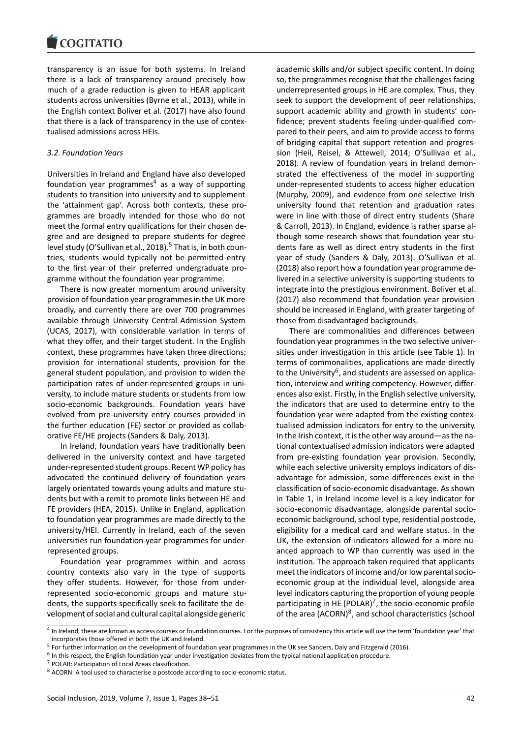transparency is an issue for both systems. In Ireland there is a lack of transparency around precisely how much of a grade reduction is given to HEAR applicant students across universities (Byrne et al., 2013), while in the English context Boliver et al. (2017) have also found that there is a lack of transparency in the use of contextualised admissions across HEIs.

### *3.2. Foundation Years*

Universities in Ireland and England have also developed foundation year programmes<sup>4</sup> as a way of supporting students to transition into university and to supplement the 'attainment gap'. Across both contexts, these programmes are broadly intended for those who do not meet the formal entry qualific[a](#page-4-0)tions for their chosen degree and are designed to prepare students for degree level study (O'Sullivan et al., 2018).<sup>5</sup> That is, in both countries, students would typically not be permitted entry to the first year of their preferred undergraduate programme without the foundation year programme.

There is now greater moment[u](#page-4-1)m around university provision of foundation year programmes in the UK more broadly, and currently there are over 700 programmes available through University Central Admission System (UCAS, 2017), with considerable variation in terms of what they offer, and their target student. In the English context, these programmes have taken three directions; provision for international students, provision for the general student population, and provision to widen the participation rates of under-represented groups in university, to include mature students or students from low socio-economic backgrounds. Foundation years have evolved from pre-university entry courses provided in the further education (FE) sector or provided as collaborative FE/HE projects (Sanders & Daly, 2013).

In Ireland, foundation years have traditionally been delivered in the university context and have targeted under-represented student groups. Recent WP policy has advocated the continued delivery of foundation years largely orientated towards young adults and mature students but with a remit to promote links between HE and FE providers (HEA, 2015). Unlike in England, application to foundation year programmes are made directly to the university/HEI. Currently in Ireland, each of the seven universities run foundation year programmes for underrepresented groups.

Foundation year programmes within and across country contexts also vary in the type of supports they offer students. However, for those from underrepresented socio-economic groups and mature students, the supports specifically seek to facilitate the development of social and cultural capital alongside generic

academic skills and/or subject specific content. In doing so, the programmes recognise that the challenges facing underrepresented groups in HE are complex. Thus, they seek to support the development of peer relationships, support academic ability and growth in students' confidence; prevent students feeling under-qualified compared to their peers, and aim to provide access to forms of bridging capital that support retention and progression (Heil, Reisel, & Attewell, 2014; O'Sullivan et al., 2018). A review of foundation years in Ireland demonstrated the effectiveness of the model in supporting under-represented students to access higher education (Murphy, 2009), and evidence from one selective Irish university found that retention and graduation rates were in line with those of direct entry students (Share & Carroll, 2013). In England, evidence is rather sparse although some research shows that foundation year students fare as well as direct entry students in the first year of study (Sanders & Daly, 2013). O'Sullivan et al. (2018) also report how a foundation year programme delivered in a selective university is supporting students to integrate into the prestigious environment. Boliver et al. (2017) also recommend that foundation year provision should be increased in England, with greater targeting of those from disadvantaged backgrounds.

There are commonalities and differences between foundation year programmes in the two selective universities under investigation in this article (see Table 1). In terms of commonalities, applications are made directly to the University<sup>6</sup>, and students are assessed on application, interview and writing competency. However, differences also exist. Firstly, in the English selective university, the indicators that are used to determine entry to the foundation year [w](#page-4-2)ere adapted from the existing contextualised admission indicators for entry to the university. In the Irish context, it is the other way around—as the national contextualised admission indicators were adapted from pre-existing foundation year provision. Secondly, while each selective university employs indicators of disadvantage for admission, some differences exist in the classification of socio-economic disadvantage. As shown in Table 1, in Ireland income level is a key indicator for socio-economic disadvantage, alongside parental socioeconomic background, school type, residential postcode, eligibility for a medical card and welfare status. In the UK, the extension of indicators allowed for a more nuanced approach to WP than currently was used in the institution. The approach taken required that applicants meet the indicators of income and/or low parental socioeconomic group at the individual level, alongside area level indicators capturing the proportion of young people participating in HE (POLAR)<sup>7</sup>, the socio-economic profile of the area (ACORN)<sup>8</sup>, and school characteristics (school

<sup>&</sup>lt;sup>4</sup> In Ireland, these are known as access courses or foundation courses. For the purposes of consistency this article will use the term 'foundation year' that incorporates those offered in both the UK and Ireland.

<sup>&</sup>lt;sup>5</sup> For further information on the development of foundation year programmes in the UK see Sanders, Daly and Fitz[ge](#page-4-3)rald (2016).

<sup>&</sup>lt;sup>6</sup> In this respect, the English founda[tio](#page-4-4)n year under investigation deviates from the typical national application procedure.

<sup>7</sup> POLAR: Participation of Local Areas classification.

<span id="page-4-4"></span><span id="page-4-3"></span><span id="page-4-2"></span><span id="page-4-1"></span><span id="page-4-0"></span><sup>&</sup>lt;sup>8</sup> ACORN: A tool used to characterise a postcode according to socio-economic status.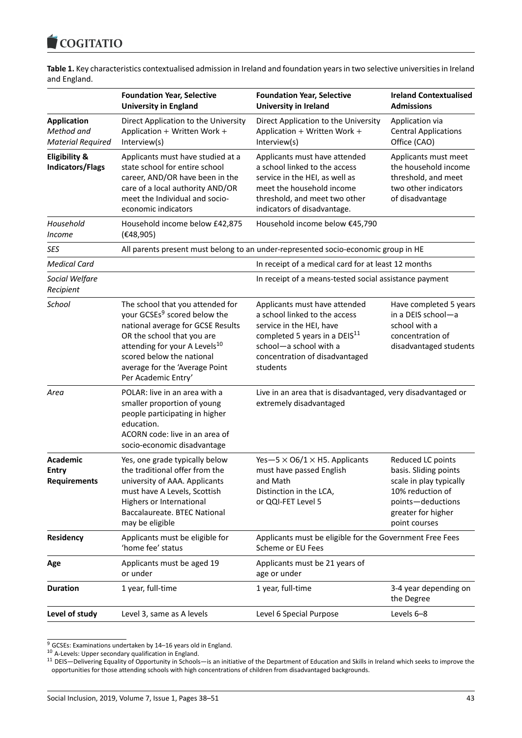

|              | Table 1. Key characteristics contextualised admission in Ireland and foundation years in two selective universities in Ireland |  |  |  |
|--------------|--------------------------------------------------------------------------------------------------------------------------------|--|--|--|
| and England. |                                                                                                                                |  |  |  |

|                                                                                                                                                                                                                                                                                                                                                                                                                                                             | <b>Foundation Year, Selective</b><br><b>University in England</b>                                                                                                                                                                                                                                                                                         | <b>Foundation Year, Selective</b><br><b>University in Ireland</b>                                                                                                                                               | <b>Ireland Contextualised</b><br><b>Admissions</b>                                                                                                    |
|-------------------------------------------------------------------------------------------------------------------------------------------------------------------------------------------------------------------------------------------------------------------------------------------------------------------------------------------------------------------------------------------------------------------------------------------------------------|-----------------------------------------------------------------------------------------------------------------------------------------------------------------------------------------------------------------------------------------------------------------------------------------------------------------------------------------------------------|-----------------------------------------------------------------------------------------------------------------------------------------------------------------------------------------------------------------|-------------------------------------------------------------------------------------------------------------------------------------------------------|
| <b>Application</b><br>Method and<br><b>Material Required</b>                                                                                                                                                                                                                                                                                                                                                                                                | Direct Application to the University<br>Application + Written Work +<br>Interview(s)                                                                                                                                                                                                                                                                      | Direct Application to the University<br>Application + Written Work +<br>Interview(s)                                                                                                                            | Application via<br><b>Central Applications</b><br>Office (CAO)                                                                                        |
| <b>Eligibility &amp;</b><br>Applicants must have studied at a<br>Applicants must have attended<br>state school for entire school<br>a school linked to the access<br><b>Indicators/Flags</b><br>career, AND/OR have been in the<br>service in the HEI, as well as<br>meet the household income<br>care of a local authority AND/OR<br>threshold, and meet two other<br>meet the Individual and socio-<br>economic indicators<br>indicators of disadvantage. |                                                                                                                                                                                                                                                                                                                                                           |                                                                                                                                                                                                                 | Applicants must meet<br>the household income<br>threshold, and meet<br>two other indicators<br>of disadvantage                                        |
| Household<br>Income                                                                                                                                                                                                                                                                                                                                                                                                                                         | Household income below £42,875<br>(E48, 905)                                                                                                                                                                                                                                                                                                              | Household income below €45,790                                                                                                                                                                                  |                                                                                                                                                       |
| <b>SES</b>                                                                                                                                                                                                                                                                                                                                                                                                                                                  |                                                                                                                                                                                                                                                                                                                                                           | All parents present must belong to an under-represented socio-economic group in HE                                                                                                                              |                                                                                                                                                       |
| <b>Medical Card</b>                                                                                                                                                                                                                                                                                                                                                                                                                                         |                                                                                                                                                                                                                                                                                                                                                           | In receipt of a medical card for at least 12 months                                                                                                                                                             |                                                                                                                                                       |
| Social Welfare<br>Recipient                                                                                                                                                                                                                                                                                                                                                                                                                                 |                                                                                                                                                                                                                                                                                                                                                           | In receipt of a means-tested social assistance payment                                                                                                                                                          |                                                                                                                                                       |
| School                                                                                                                                                                                                                                                                                                                                                                                                                                                      | The school that you attended for<br>your GCSEs <sup>9</sup> scored below the<br>national average for GCSE Results<br>OR the school that you are<br>attending for your A Levels <sup>10</sup><br>scored below the national<br>average for the 'Average Point<br>Per Academic Entry'                                                                        | Applicants must have attended<br>a school linked to the access<br>service in the HEI, have<br>completed 5 years in a DEIS <sup>11</sup><br>school-a school with a<br>concentration of disadvantaged<br>students | Have completed 5 years<br>in a DEIS school-a<br>school with a<br>concentration of<br>disadvantaged students                                           |
| Area                                                                                                                                                                                                                                                                                                                                                                                                                                                        | POLAR: live in an area with a<br>smaller proportion of young<br>people participating in higher<br>education.<br>ACORN code: live in an area of<br>socio-economic disadvantage                                                                                                                                                                             | Live in an area that is disadvantaged, very disadvantaged or<br>extremely disadvantaged                                                                                                                         |                                                                                                                                                       |
| <b>Academic</b><br><b>Entry</b><br><b>Requirements</b>                                                                                                                                                                                                                                                                                                                                                                                                      | Yes- $-5 \times 06/1 \times H5$ . Applicants<br>Yes, one grade typically below<br>the traditional offer from the<br>must have passed English<br>and Math<br>university of AAA. Applicants<br>must have A Levels, Scottish<br>Distinction in the LCA,<br>or QQI-FET Level 5<br>Highers or International<br>Baccalaureate. BTEC National<br>may be eligible |                                                                                                                                                                                                                 | Reduced LC points<br>basis. Sliding points<br>scale in play typically<br>10% reduction of<br>points-deductions<br>greater for higher<br>point courses |
| Residency                                                                                                                                                                                                                                                                                                                                                                                                                                                   | Applicants must be eligible for<br>'home fee' status                                                                                                                                                                                                                                                                                                      | Applicants must be eligible for the Government Free Fees<br>Scheme or EU Fees                                                                                                                                   |                                                                                                                                                       |
| Age                                                                                                                                                                                                                                                                                                                                                                                                                                                         | Applicants must be aged 19<br>or under                                                                                                                                                                                                                                                                                                                    | Applicants must be 21 years of<br>age or under                                                                                                                                                                  |                                                                                                                                                       |
| <b>Duration</b>                                                                                                                                                                                                                                                                                                                                                                                                                                             | 1 year, full-time                                                                                                                                                                                                                                                                                                                                         | 3-4 year depending on<br>1 year, full-time<br>the Degree                                                                                                                                                        |                                                                                                                                                       |
| Level of study                                                                                                                                                                                                                                                                                                                                                                                                                                              | Level 3, same as A levels                                                                                                                                                                                                                                                                                                                                 | Level 6 Special Purpose                                                                                                                                                                                         | Levels 6-8                                                                                                                                            |

 $9$  GCSEs: Examinations undertaken by 14–16 years old in England. <sup>10</sup> A-Levels: Upper secondary qualification in England.

<sup>&</sup>lt;sup>11</sup> DEIS—Delivering Equality of Opportunity in Schools—is an initiative of the Department of Education and Skills in Ireland which seeks to improve the opportunities for those attending schools with high concentrations of children from disadvantaged backgrounds.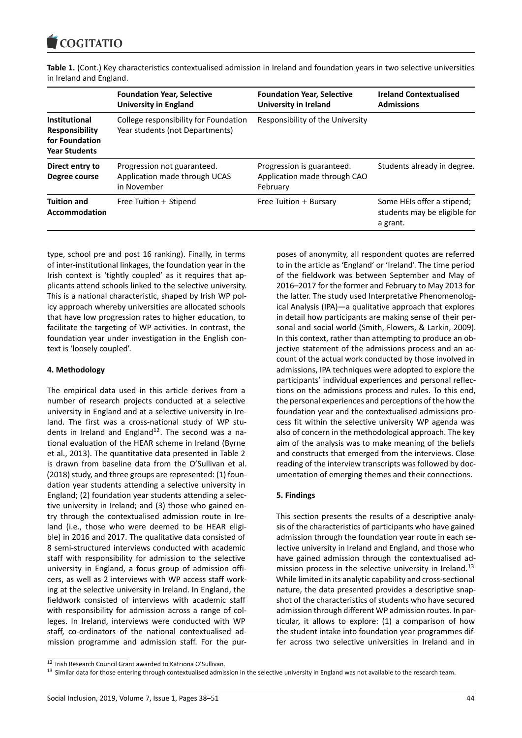

**Table 1.** (Cont.) Key characteristics contextualised admission in Ireland and foundation years in two selective universities

|                                                                                         | <b>Foundation Year, Selective</b><br><b>University in England</b>           | <b>Foundation Year, Selective</b><br><b>University in Ireland</b>      | <b>Ireland Contextualised</b><br><b>Admissions</b>                     |  |
|-----------------------------------------------------------------------------------------|-----------------------------------------------------------------------------|------------------------------------------------------------------------|------------------------------------------------------------------------|--|
| <b>Institutional</b><br><b>Responsibility</b><br>for Foundation<br><b>Year Students</b> | College responsibility for Foundation<br>Year students (not Departments)    | Responsibility of the University                                       |                                                                        |  |
| Direct entry to<br>Degree course                                                        | Progression not guaranteed.<br>Application made through UCAS<br>in November | Progression is guaranteed.<br>Application made through CAO<br>February | Students already in degree.                                            |  |
| <b>Tuition and</b><br>Accommodation                                                     | Free Tuition + Stipend                                                      | Free Tuition + Bursary                                                 | Some HEIs offer a stipend;<br>students may be eligible for<br>a grant. |  |

in Ireland and England.

type, school pre and post 16 ranking). Finally, in terms of inter-institutional linkages, the foundation year in the Irish context is 'tightly coupled' as it requires that applicants attend schools linked to the selective university. This is a national characteristic, shaped by Irish WP policy approach whereby universities are allocated schools that have low progression rates to higher education, to facilitate the targeting of WP activities. In contrast, the foundation year under investigation in the English context is 'loosely coupled'.

### **4. Methodology**

The empirical data used in this article derives from a number of research projects conducted at a selective university in England and at a selective university in Ireland. The first was a cross-national study of WP students in Ireland and England $12$ . The second was a national evaluation of the HEAR scheme in Ireland (Byrne et al., 2013). The quantitative data presented in Table 2 is drawn from baseline data from the O'Sullivan et al. (2018) study, and three group[s a](#page-6-0)re represented: (1) foundation year students attending a selective university in England; (2) foundation year students attending a selective university in Ireland; and (3) those who gained entry through the contextualised admission route in Ireland (i.e., those who were deemed to be HEAR eligible) in 2016 and 2017. The qualitative data consisted of 8 semi-structured interviews conducted with academic staff with responsibility for admission to the selective university in England, a focus group of admission officers, as well as 2 interviews with WP access staff working at the selective university in Ireland. In England, the fieldwork consisted of interviews with academic staff with responsibility for admission across a range of colleges. In Ireland, interviews were conducted with WP staff, co-ordinators of the national contextualised admission programme and admission staff. For the pur-

poses of anonymity, all respondent quotes are referred to in the article as 'England' or 'Ireland'. The time period of the fieldwork was between September and May of 2016–2017 for the former and February to May 2013 for the latter. The study used Interpretative Phenomenological Analysis (IPA)—a qualitative approach that explores in detail how participants are making sense of their personal and social world (Smith, Flowers, & Larkin, 2009). In this context, rather than attempting to produce an objective statement of the admissions process and an account of the actual work conducted by those involved in admissions, IPA techniques were adopted to explore the participants' individual experiences and personal reflections on the admissions process and rules. To this end, the personal experiences and perceptions of the how the foundation year and the contextualised admissions process fit within the selective university WP agenda was also of concern in the methodological approach. The key aim of the analysis was to make meaning of the beliefs and constructs that emerged from the interviews. Close reading of the interview transcripts was followed by documentation of emerging themes and their connections.

# **5. Findings**

This section presents the results of a descriptive analysis of the characteristics of participants who have gained admission through the foundation year route in each selective university in Ireland and England, and those who have gained admission through the contextualised admission process in the selective university in Ireland.<sup>13</sup> While limited in its analytic capability and cross-sectional nature, the data presented provides a descriptive snapshot of the characteristics of students who have secured admission through different WP admission routes. In p[ar](#page-6-1)ticular, it allows to explore: (1) a comparison of how the student intake into foundation year programmes differ across two selective universities in Ireland and in

<sup>12</sup> Irish Research Council Grant awarded to Katriona O'Sullivan.

<span id="page-6-1"></span><span id="page-6-0"></span><sup>&</sup>lt;sup>13</sup> Similar data for those entering through contextualised admission in the selective university in England was not available to the research team.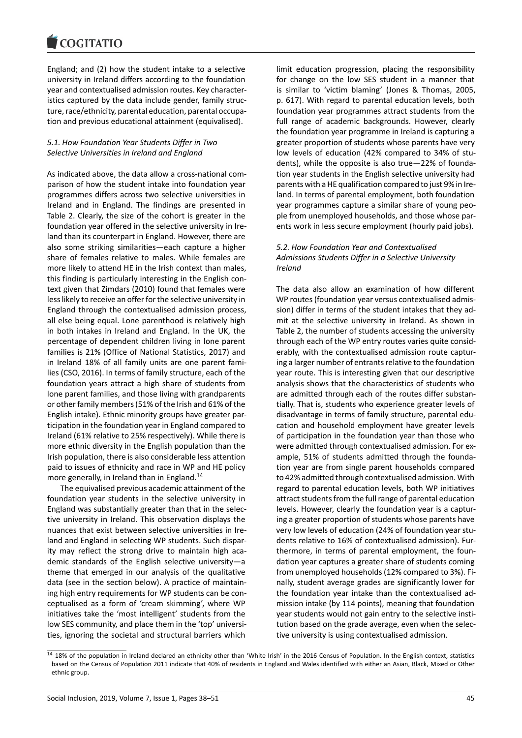#### **COMMITMENT**

England; and (2) how the student intake to a selective university in Ireland differs according to the foundation year and contextualised admission routes. Key characteristics captured by the data include gender, family structure, race/ethnicity, parental education, parental occupation and previous educational attainment (equivalised).

### *5.1. How Foundation Year Students Differ in Two Selective Universities in Ireland and England*

As indicated above, the data allow a cross-national comparison of how the student intake into foundation year programmes differs across two selective universities in Ireland and in England. The findings are presented in Table 2. Clearly, the size of the cohort is greater in the foundation year offered in the selective university in Ireland than its counterpart in England. However, there are also some striking similarities—each capture a higher share of females relative to males. While females are more likely to attend HE in the Irish context than males, this finding is particularly interesting in the English context given that Zimdars (2010) found that females were less likely to receive an offer for the selective university in England through the contextualised admission process, all else being equal. Lone parenthood is relatively high in both intakes in Ireland and England. In the UK, the percentage of dependent children living in lone parent families is 21% (Office of National Statistics, 2017) and in Ireland 18% of all family units are one parent families (CSO, 2016). In terms of family structure, each of the foundation years attract a high share of students from lone parent families, and those living with grandparents or other family members (51% of the Irish and 61% of the English intake). Ethnic minority groups have greater participation in the foundation year in England compared to Ireland (61% relative to 25% respectively). While there is more ethnic diversity in the English population than the Irish population, there is also considerable less attention paid to issues of ethnicity and race in WP and HE policy more generally, in Ireland than in England.<sup>14</sup>

The equivalised previous academic attainment of the foundation year students in the selective university in England was substantially greater than that in the selective university in Ireland. This observatio[n d](#page-7-0)isplays the nuances that exist between selective universities in Ireland and England in selecting WP students. Such disparity may reflect the strong drive to maintain high academic standards of the English selective university—a theme that emerged in our analysis of the qualitative data (see in the section below). A practice of maintaining high entry requirements for WP students can be conceptualised as a form of 'cream skimming', where WP initiatives take the 'most intelligent' students from the low SES community, and place them in the 'top' universities, ignoring the societal and structural barriers which

limit education progression, placing the responsibility for change on the low SES student in a manner that is similar to 'victim blaming' (Jones & Thomas, 2005, p. 617). With regard to parental education levels, both foundation year programmes attract students from the full range of academic backgrounds. However, clearly the foundation year programme in Ireland is capturing a greater proportion of students whose parents have very low levels of education (42% compared to 34% of students), while the opposite is also true—22% of foundation year students in the English selective university had parents with a HE qualification compared to just 9% in Ireland. In terms of parental employment, both foundation year programmes capture a similar share of young people from unemployed households, and those whose parents work in less secure employment (hourly paid jobs).

### *5.2. How Foundation Year and Contextualised Admissions Students Differ in a Selective University Ireland*

The data also allow an examination of how different WP routes (foundation year versus contextualised admission) differ in terms of the student intakes that they admit at the selective university in Ireland. As shown in Table 2, the number of students accessing the university through each of the WP entry routes varies quite considerably, with the contextualised admission route capturing a larger number of entrants relative to the foundation year route. This is interesting given that our descriptive analysis shows that the characteristics of students who are admitted through each of the routes differ substantially. That is, students who experience greater levels of disadvantage in terms of family structure, parental education and household employment have greater levels of participation in the foundation year than those who were admitted through contextualised admission. For example, 51% of students admitted through the foundation year are from single parent households compared to 42% admitted through contextualised admission. With regard to parental education levels, both WP initiatives attract students from the full range of parental education levels. However, clearly the foundation year is a capturing a greater proportion of students whose parents have very low levels of education (24% of foundation year students relative to 16% of contextualised admission). Furthermore, in terms of parental employment, the foundation year captures a greater share of students coming from unemployed households (12% compared to 3%). Finally, student average grades are significantly lower for the foundation year intake than the contextualised admission intake (by 114 points), meaning that foundation year students would not gain entry to the selective institution based on the grade average, even when the selective university is using contextualised admission.

<span id="page-7-0"></span><sup>&</sup>lt;sup>14</sup> 18% of the population in Ireland declared an ethnicity other than 'White Irish' in the 2016 Census of Population. In the English context, statistics based on the Census of Population 2011 indicate that 40% of residents in England and Wales identified with either an Asian, Black, Mixed or Other ethnic group.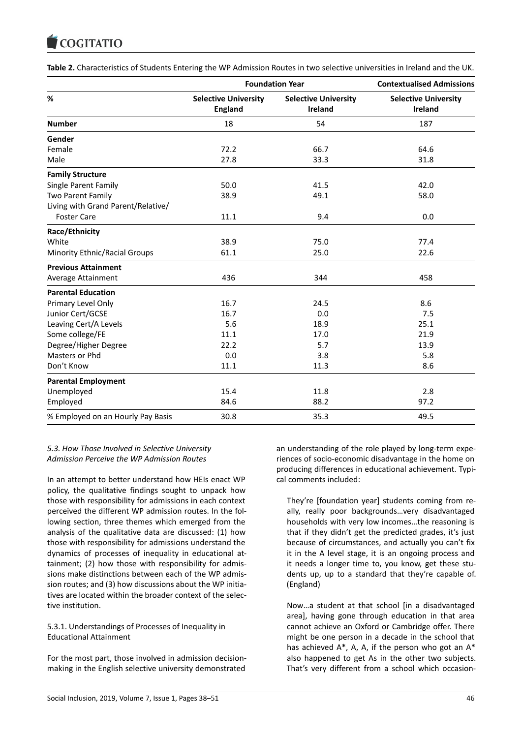#### COQUATIO

| Table 2. Characteristics of Students Entering the WP Admission Routes in two selective universities in Ireland and the UK. |  |
|----------------------------------------------------------------------------------------------------------------------------|--|
|----------------------------------------------------------------------------------------------------------------------------|--|

|                                    | <b>Foundation Year</b>                        | <b>Contextualised Admissions</b>              |                                        |
|------------------------------------|-----------------------------------------------|-----------------------------------------------|----------------------------------------|
| %                                  | <b>Selective University</b><br><b>England</b> | <b>Selective University</b><br><b>Ireland</b> | <b>Selective University</b><br>Ireland |
| <b>Number</b>                      | 18                                            | 54                                            | 187                                    |
| Gender                             |                                               |                                               |                                        |
| Female                             | 72.2                                          | 66.7                                          | 64.6                                   |
| Male                               | 27.8                                          | 33.3                                          | 31.8                                   |
| <b>Family Structure</b>            |                                               |                                               |                                        |
| Single Parent Family               | 50.0                                          | 41.5                                          | 42.0                                   |
| Two Parent Family                  | 38.9                                          | 49.1                                          | 58.0                                   |
| Living with Grand Parent/Relative/ |                                               |                                               |                                        |
| <b>Foster Care</b>                 | 11.1                                          | 9.4                                           | 0.0                                    |
| Race/Ethnicity                     |                                               |                                               |                                        |
| White                              | 38.9                                          | 75.0                                          | 77.4                                   |
| Minority Ethnic/Racial Groups      | 61.1                                          | 25.0                                          | 22.6                                   |
| <b>Previous Attainment</b>         |                                               |                                               |                                        |
| Average Attainment                 | 436                                           | 344                                           | 458                                    |
| <b>Parental Education</b>          |                                               |                                               |                                        |
| Primary Level Only                 | 16.7                                          | 24.5                                          | 8.6                                    |
| Junior Cert/GCSE                   | 16.7                                          | 0.0                                           | 7.5                                    |
| Leaving Cert/A Levels              | 5.6                                           | 18.9                                          | 25.1                                   |
| Some college/FE                    | 11.1                                          | 17.0                                          | 21.9                                   |
| Degree/Higher Degree               | 22.2                                          | 5.7                                           | 13.9                                   |
| Masters or Phd                     | 0.0                                           | 3.8                                           | 5.8                                    |
| Don't Know                         | 11.1                                          | 11.3                                          | 8.6                                    |
| <b>Parental Employment</b>         |                                               |                                               |                                        |
| Unemployed                         | 15.4                                          | 11.8                                          | 2.8                                    |
| Employed                           | 84.6                                          | 88.2                                          | 97.2                                   |
| % Employed on an Hourly Pay Basis  | 30.8                                          | 35.3                                          | 49.5                                   |

# *5.3. How Those Involved in Selective University Admission Perceive the WP Admission Routes*

In an attempt to better understand how HEIs enact WP policy, the qualitative findings sought to unpack how those with responsibility for admissions in each context perceived the different WP admission routes. In the following section, three themes which emerged from the analysis of the qualitative data are discussed: (1) how those with responsibility for admissions understand the dynamics of processes of inequality in educational attainment; (2) how those with responsibility for admissions make distinctions between each of the WP admission routes; and (3) how discussions about the WP initiatives are located within the broader context of the selective institution.

# 5.3.1. Understandings of Processes of Inequality in Educational Attainment

For the most part, those involved in admission decisionmaking in the English selective university demonstrated

an understanding of the role played by long-term experiences of socio-economic disadvantage in the home on producing differences in educational achievement. Typical comments included:

They're [foundation year] students coming from really, really poor backgrounds…very disadvantaged households with very low incomes…the reasoning is that if they didn't get the predicted grades, it's just because of circumstances, and actually you can't fix it in the A level stage, it is an ongoing process and it needs a longer time to, you know, get these students up, up to a standard that they're capable of. (England)

Now…a student at that school [in a disadvantaged area], having gone through education in that area cannot achieve an Oxford or Cambridge offer. There might be one person in a decade in the school that has achieved  $A^*$ , A, A, if the person who got an  $A^*$ also happened to get As in the other two subjects. That's very different from a school which occasion-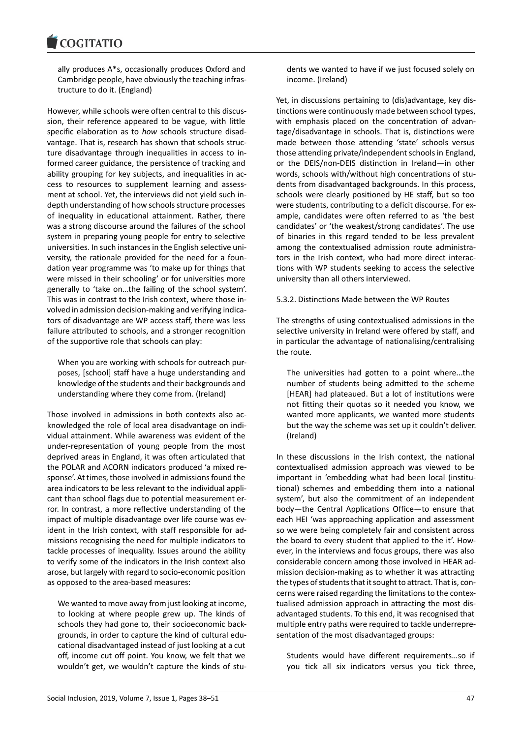#### COQUIATIO

ally produces A\*s, occasionally produces Oxford and Cambridge people, have obviously the teaching infrastructure to do it. (England)

However, while schools were often central to this discussion, their reference appeared to be vague, with little specific elaboration as to *how* schools structure disadvantage. That is, research has shown that schools structure disadvantage through inequalities in access to informed career guidance, the persistence of tracking and ability grouping for key subjects, and inequalities in access to resources to supplement learning and assessment at school. Yet, the interviews did not yield such indepth understanding of how schools structure processes of inequality in educational attainment. Rather, there was a strong discourse around the failures of the school system in preparing young people for entry to selective universities. In such instances in the English selective university, the rationale provided for the need for a foundation year programme was 'to make up for things that were missed in their schooling' or for universities more generally to 'take on…the failing of the school system'. This was in contrast to the Irish context, where those involved in admission decision-making and verifying indicators of disadvantage are WP access staff, there was less failure attributed to schools, and a stronger recognition of the supportive role that schools can play:

When you are working with schools for outreach purposes, [school] staff have a huge understanding and knowledge of the students and their backgrounds and understanding where they come from. (Ireland)

Those involved in admissions in both contexts also acknowledged the role of local area disadvantage on individual attainment. While awareness was evident of the under-representation of young people from the most deprived areas in England, it was often articulated that the POLAR and ACORN indicators produced 'a mixed response'. At times, those involved in admissions found the area indicators to be less relevant to the individual applicant than school flags due to potential measurement error. In contrast, a more reflective understanding of the impact of multiple disadvantage over life course was evident in the Irish context, with staff responsible for admissions recognising the need for multiple indicators to tackle processes of inequality. Issues around the ability to verify some of the indicators in the Irish context also arose, but largely with regard to socio-economic position as opposed to the area-based measures:

We wanted to move away from just looking at income, to looking at where people grew up. The kinds of schools they had gone to, their socioeconomic backgrounds, in order to capture the kind of cultural educational disadvantaged instead of just looking at a cut off, income cut off point. You know, we felt that we wouldn't get, we wouldn't capture the kinds of stu-

dents we wanted to have if we just focused solely on income. (Ireland)

Yet, in discussions pertaining to (dis)advantage, key distinctions were continuously made between school types, with emphasis placed on the concentration of advantage/disadvantage in schools. That is, distinctions were made between those attending 'state' schools versus those attending private/independent schools in England, or the DEIS/non-DEIS distinction in Ireland—in other words, schools with/without high concentrations of students from disadvantaged backgrounds. In this process, schools were clearly positioned by HE staff, but so too were students, contributing to a deficit discourse. For example, candidates were often referred to as 'the best candidates' or 'the weakest/strong candidates'. The use of binaries in this regard tended to be less prevalent among the contextualised admission route administrators in the Irish context, who had more direct interactions with WP students seeking to access the selective university than all others interviewed.

### 5.3.2. Distinctions Made between the WP Routes

The strengths of using contextualised admissions in the selective university in Ireland were offered by staff, and in particular the advantage of nationalising/centralising the route.

The universities had gotten to a point where...the number of students being admitted to the scheme [HEAR] had plateaued. But a lot of institutions were not fitting their quotas so it needed you know, we wanted more applicants, we wanted more students but the way the scheme was set up it couldn't deliver. (Ireland)

In these discussions in the Irish context, the national contextualised admission approach was viewed to be important in 'embedding what had been local (institutional) schemes and embedding them into a national system', but also the commitment of an independent body—the Central Applications Office—to ensure that each HEI 'was approaching application and assessment so we were being completely fair and consistent across the board to every student that applied to the it'. However, in the interviews and focus groups, there was also considerable concern among those involved in HEAR admission decision-making as to whether it was attracting the types of students that it sought to attract. That is, concerns were raised regarding the limitations to the contextualised admission approach in attracting the most disadvantaged students. To this end, it was recognised that multiple entry paths were required to tackle underrepresentation of the most disadvantaged groups:

Students would have different requirements…so if you tick all six indicators versus you tick three,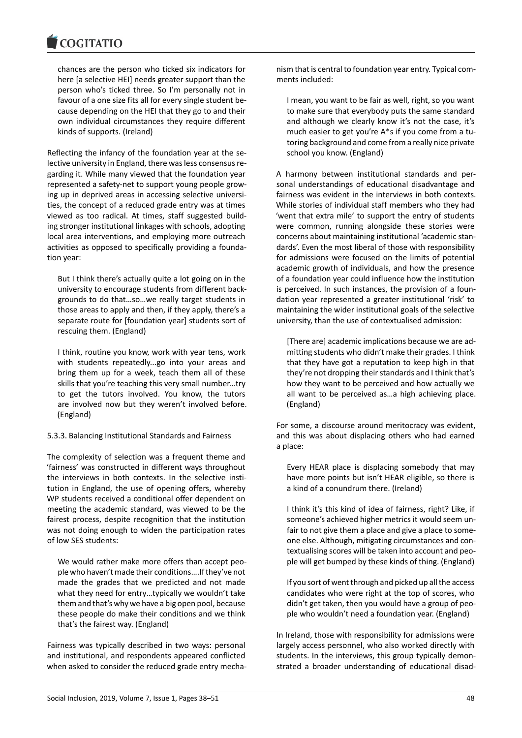#### COMITATIO

chances are the person who ticked six indicators for here [a selective HEI] needs greater support than the person who's ticked three. So I'm personally not in favour of a one size fits all for every single student because depending on the HEI that they go to and their own individual circumstances they require different kinds of supports. (Ireland)

Reflecting the infancy of the foundation year at the selective university in England, there was less consensus regarding it. While many viewed that the foundation year represented a safety-net to support young people growing up in deprived areas in accessing selective universities, the concept of a reduced grade entry was at times viewed as too radical. At times, staff suggested building stronger institutional linkages with schools, adopting local area interventions, and employing more outreach activities as opposed to specifically providing a foundation year:

But I think there's actually quite a lot going on in the university to encourage students from different backgrounds to do that…so…we really target students in those areas to apply and then, if they apply, there's a separate route for [foundation year] students sort of rescuing them. (England)

I think, routine you know, work with year tens, work with students repeatedly...go into your areas and bring them up for a week, teach them all of these skills that you're teaching this very small number...try to get the tutors involved. You know, the tutors are involved now but they weren't involved before. (England)

# 5.3.3. Balancing Institutional Standards and Fairness

The complexity of selection was a frequent theme and 'fairness' was constructed in different ways throughout the interviews in both contexts. In the selective institution in England, the use of opening offers, whereby WP students received a conditional offer dependent on meeting the academic standard, was viewed to be the fairest process, despite recognition that the institution was not doing enough to widen the participation rates of low SES students:

We would rather make more offers than accept people who haven't made their conditions….If they've not made the grades that we predicted and not made what they need for entry…typically we wouldn't take them and that's why we have a big open pool, because these people do make their conditions and we think that's the fairest way. (England)

Fairness was typically described in two ways: personal and institutional, and respondents appeared conflicted when asked to consider the reduced grade entry mecha-

nism that is central to foundation year entry. Typical comments included:

I mean, you want to be fair as well, right, so you want to make sure that everybody puts the same standard and although we clearly know it's not the case, it's much easier to get you're A\*s if you come from a tutoring background and come from a really nice private school you know. (England)

A harmony between institutional standards and personal understandings of educational disadvantage and fairness was evident in the interviews in both contexts. While stories of individual staff members who they had 'went that extra mile' to support the entry of students were common, running alongside these stories were concerns about maintaining institutional 'academic standards'. Even the most liberal of those with responsibility for admissions were focused on the limits of potential academic growth of individuals, and how the presence of a foundation year could influence how the institution is perceived. In such instances, the provision of a foundation year represented a greater institutional 'risk' to maintaining the wider institutional goals of the selective university, than the use of contextualised admission:

[There are] academic implications because we are admitting students who didn't make their grades. I think that they have got a reputation to keep high in that they're not dropping their standards and I think that's how they want to be perceived and how actually we all want to be perceived as…a high achieving place. (England)

For some, a discourse around meritocracy was evident, and this was about displacing others who had earned a place:

Every HEAR place is displacing somebody that may have more points but isn't HEAR eligible, so there is a kind of a conundrum there. (Ireland)

I think it's this kind of idea of fairness, right? Like, if someone's achieved higher metrics it would seem unfair to not give them a place and give a place to someone else. Although, mitigating circumstances and contextualising scores will be taken into account and people will get bumped by these kinds of thing. (England)

If you sort of went through and picked up all the access candidates who were right at the top of scores, who didn't get taken, then you would have a group of people who wouldn't need a foundation year. (England)

In Ireland, those with responsibility for admissions were largely access personnel, who also worked directly with students. In the interviews, this group typically demonstrated a broader understanding of educational disad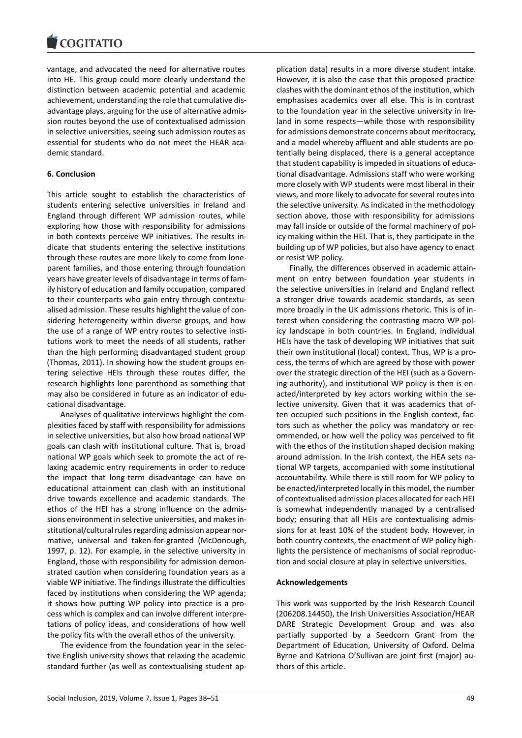vantage, and advocated the need for alternative routes into HE. This group could more clearly understand the distinction between academic potential and academic achievement, understanding the role that cumulative disadvantage plays, arguing for the use of alternative admission routes beyond the use of contextualised admission in selective universities, seeing such admission routes as essential for students who do not meet the HEAR academic standard.

### **6. Conclusion**

This article sought to establish the characteristics of students entering selective universities in Ireland and England through different WP admission routes, while exploring how those with responsibility for admissions in both contexts perceive WP initiatives. The results indicate that students entering the selective institutions through these routes are more likely to come from loneparent families, and those entering through foundation years have greater levels of disadvantage in terms of family history of education and family occupation, compared to their counterparts who gain entry through contextualised admission. These results highlight the value of considering heterogeneity within diverse groups, and how the use of a range of WP entry routes to selective institutions work to meet the needs of all students, rather than the high performing disadvantaged student group (Thomas, 2011). In showing how the student groups entering selective HEIs through these routes differ, the research highlights lone parenthood as something that may also be considered in future as an indicator of educational disadvantage.

Analyses of qualitative interviews highlight the complexities faced by staff with responsibility for admissions in selective universities, but also how broad national WP goals can clash with institutional culture. That is, broad national WP goals which seek to promote the act of relaxing academic entry requirements in order to reduce the impact that long-term disadvantage can have on educational attainment can clash with an institutional drive towards excellence and academic standards. The ethos of the HEI has a strong influence on the admissions environment in selective universities, and makes institutional/cultural rules regarding admission appear normative, universal and taken-for-granted (McDonough, 1997, p. 12). For example, in the selective university in England, those with responsibility for admission demonstrated caution when considering foundation years as a viable WP initiative. The findings illustrate the difficulties faced by institutions when considering the WP agenda; it shows how putting WP policy into practice is a process which is complex and can involve different interpretations of policy ideas, and considerations of how well the policy fits with the overall ethos of the university.

The evidence from the foundation year in the selective English university shows that relaxing the academic standard further (as well as contextualising student ap-

plication data) results in a more diverse student intake. However, it is also the case that this proposed practice clashes with the dominant ethos of the institution, which emphasises academics over all else. This is in contrast to the foundation year in the selective university in Ireland in some respects—while those with responsibility for admissions demonstrate concerns about meritocracy, and a model whereby affluent and able students are potentially being displaced, there is a general acceptance that student capability is impeded in situations of educational disadvantage. Admissions staff who were working more closely with WP students were most liberal in their views, and more likely to advocate for several routes into the selective university. As indicated in the methodology section above, those with responsibility for admissions may fall inside or outside of the formal machinery of policy making within the HEI. That is, they participate in the building up of WP policies, but also have agency to enact or resist WP policy.

Finally, the differences observed in academic attainment on entry between foundation year students in the selective universities in Ireland and England reflect a stronger drive towards academic standards, as seen more broadly in the UK admissions rhetoric. This is of interest when considering the contrasting macro WP policy landscape in both countries. In England, individual HEIs have the task of developing WP initiatives that suit their own institutional (local) context. Thus, WP is a process, the terms of which are agreed by those with power over the strategic direction of the HEI (such as a Governing authority), and institutional WP policy is then is enacted/interpreted by key actors working within the selective university. Given that it was academics that often occupied such positions in the English context, factors such as whether the policy was mandatory or recommended, or how well the policy was perceived to fit with the ethos of the institution shaped decision making around admission. In the Irish context, the HEA sets national WP targets, accompanied with some institutional accountability. While there is still room for WP policy to be enacted/interpreted locally in this model, the number of contextualised admission places allocated for each HEI is somewhat independently managed by a centralised body; ensuring that all HEIs are contextualising admissions for at least 10% of the student body. However, in both country contexts, the enactment of WP policy highlights the persistence of mechanisms of social reproduction and social closure at play in selective universities.

#### **Acknowledgements**

This work was supported by the Irish Research Council (206208.14450), the Irish Universities Association/HEAR DARE Strategic Development Group and was also partially supported by a Seedcorn Grant from the Department of Education, University of Oxford. Delma Byrne and Katriona O'Sullivan are joint first (major) authors of this article.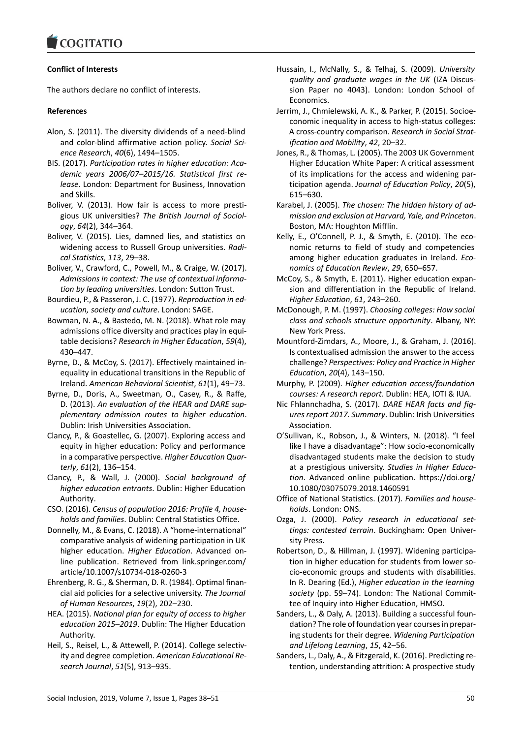# **Conflict of Interests**

The authors declare no conflict of interests.

# **References**

- Alon, S. (2011). The diversity dividends of a need-blind and color-blind affirmative action policy. *Social Science Research*, *40*(6), 1494–1505.
- BIS. (2017). *Participation rates in higher education: Academic years 2006/07–2015/16. Statistical first release*. London: Department for Business, Innovation and Skills.
- Boliver, V. (2013). How fair is access to more prestigious UK universities? *The British Journal of Sociology*, *64*(2), 344–364.
- Boliver, V. (2015). Lies, damned lies, and statistics on widening access to Russell Group universities. *Radical Statistics*, *113*, 29–38.
- Boliver, V., Crawford, C., Powell, M., & Craige, W. (2017). *Admissions in context: The use of contextual information by leading universities*. London: Sutton Trust.
- Bourdieu, P., & Passeron, J. C. (1977). *Reproduction in education, society and culture*. London: SAGE.
- Bowman, N. A., & Bastedo, M. N. (2018). What role may admissions office diversity and practices play in equitable decisions? *Research in Higher Education*, *59*(4), 430–447.
- Byrne, D., & McCoy, S. (2017). Effectively maintained inequality in educational transitions in the Republic of Ireland. *American Behavioral Scientist*, *61*(1), 49–73.
- Byrne, D., Doris, A., Sweetman, O., Casey, R., & Raffe, D. (2013). *An evaluation of the HEAR and DARE supplementary admission routes to higher education*. Dublin: Irish Universities Association.
- Clancy, P., & Goastellec, G. (2007). Exploring access and equity in higher education: Policy and performance in a comparative perspective. *Higher Education Quarterly*, *61*(2), 136–154.
- Clancy, P., & Wall, J. (2000). *Social background of higher education entrants*. Dublin: Higher Education Authority.
- CSO. (2016). *Census of population 2016: Profile 4, households and families*. Dublin: Central Statistics Office.
- Donnelly, M., & Evans, C. (2018). A "home-international" comparative analysis of widening participation in UK higher education. *Higher Education*. Advanced online publication. Retrieved from link.springer.com/ article/10.1007/s10734-018-0260-3
- Ehrenberg, R. G., & Sherman, D. R. (1984). Optimal financial aid policies for a selective university. *The Journal of Human Resources*, *19*(2), 202–230.
- HEA. (2015). *National plan for equity of access to higher education 2015–2019*. Dublin: The Higher Education Authority.
- Heil, S., Reisel, L., & Attewell, P. (2014). College selectivity and degree completion. *American Educational Research Journal*, *51*(5), 913–935.
- Hussain, I., McNally, S., & Telhaj, S. (2009). *University quality and graduate wages in the UK* (IZA Discussion Paper no 4043). London: London School of Economics.
- Jerrim, J., Chmielewski, A. K., & Parker, P. (2015). Socioeconomic inequality in access to high-status colleges: A cross-country comparison. *Research in Social Stratification and Mobility*, *42*, 20–32.
- Jones, R., & Thomas, L. (2005). The 2003 UK Government Higher Education White Paper: A critical assessment of its implications for the access and widening participation agenda. *Journal of Education Policy*, *20*(5), 615–630.
- Karabel, J. (2005). *The chosen: The hidden history of admission and exclusion at Harvard, Yale, and Princeton*. Boston, MA: Houghton Mifflin.
- Kelly, E., O'Connell, P. J., & Smyth, E. (2010). The economic returns to field of study and competencies among higher education graduates in Ireland. *Economics of Education Review*, *29*, 650–657.
- McCoy, S., & Smyth, E. (2011). Higher education expansion and differentiation in the Republic of Ireland. *Higher Education*, *61*, 243–260.
- McDonough, P. M. (1997). *Choosing colleges: How social class and schools structure opportunity*. Albany, NY: New York Press.
- Mountford-Zimdars, A., Moore, J., & Graham, J. (2016). Is contextualised admission the answer to the access challenge? *Perspectives: Policy and Practice in Higher Education*, *20*(4), 143–150.
- Murphy, P. (2009). *Higher education access/foundation courses: A research report*. Dublin: HEA, IOTI & IUA.
- Nic Fhlannchadha, S. (2017). *DARE HEAR facts and figures report 2017. Summary*. Dublin: Irish Universities Association.
- O'Sullivan, K., Robson, J., & Winters, N. (2018). "I feel like I have a disadvantage": How socio-economically disadvantaged students make the decision to study at a prestigious university. *Studies in Higher Education*. Advanced online publication. https://doi.org/ 10.1080/03075079.2018.1460591
- Office of National Statistics. (2017). *Families and households*. London: ONS.
- Ozga, J. (2000). *Policy research in educational settings: contested terrain*. Buckingham: Open University Press.
- Robertson, D., & Hillman, J. (1997). Widening participation in higher education for students from lower socio-economic groups and students with disabilities. In R. Dearing (Ed.), *Higher education in the learning society* (pp. 59–74). London: The National Committee of Inquiry into Higher Education, HMSO.
- Sanders, L., & Daly, A. (2013). Building a successful foundation? The role of foundation year courses in preparing students for their degree. *Widening Participation and Lifelong Learning*, *15*, 42–56.
- Sanders, L., Daly, A., & Fitzgerald, K. (2016). Predicting retention, understanding attrition: A prospective study